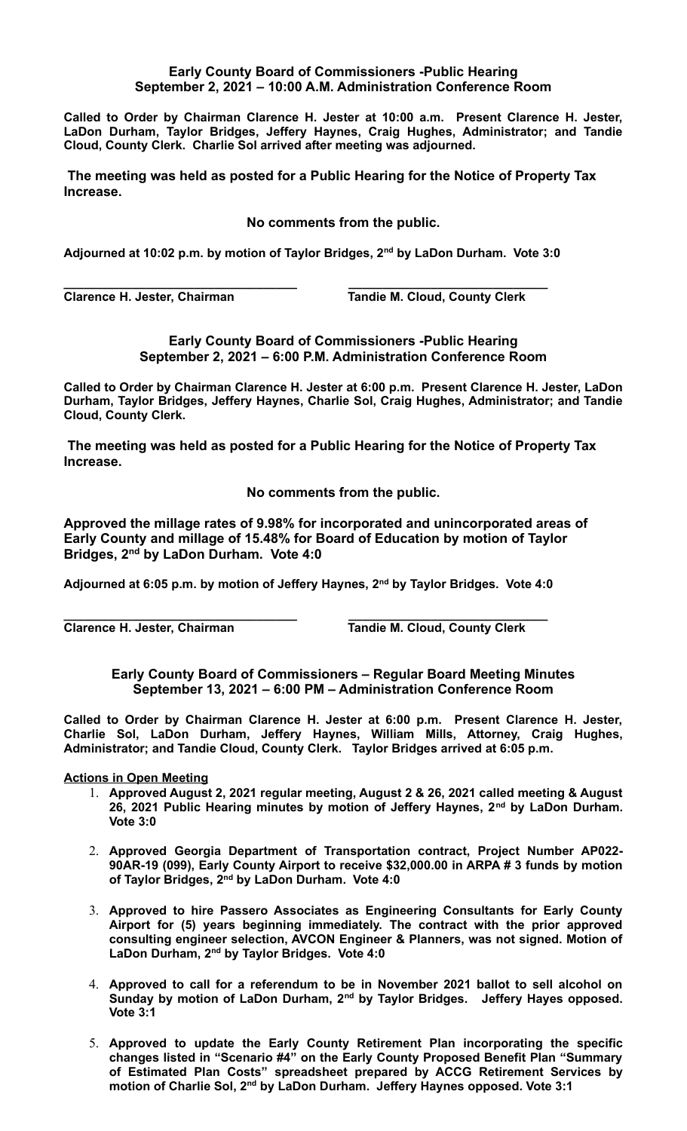## **Early County Board of Commissioners -Public Hearing September 2, 2021 – 10:00 A.M. Administration Conference Room**

**Called to Order by Chairman Clarence H. Jester at 10:00 a.m. Present Clarence H. Jester, LaDon Durham, Taylor Bridges, Jeffery Haynes, Craig Hughes, Administrator; and Tandie Cloud, County Clerk. Charlie Sol arrived after meeting was adjourned.** 

 **The meeting was held as posted for a Public Hearing for the Notice of Property Tax Increase.**

**No comments from the public.**

**Adjourned at 10:02 p.m. by motion of Taylor Bridges, 2nd by LaDon Durham. Vote 3:0**

**Clarence H. Jester, Chairman Tandie M. Cloud, County Clerk** 

**\_\_\_\_\_\_\_\_\_\_\_\_\_\_\_\_\_\_\_\_\_\_\_\_\_\_\_\_\_\_\_\_\_\_ \_\_\_\_\_\_\_\_\_\_\_\_\_\_\_\_\_\_\_\_\_\_\_\_\_\_\_\_\_**

**Early County Board of Commissioners -Public Hearing September 2, 2021 – 6:00 P.M. Administration Conference Room**

**Called to Order by Chairman Clarence H. Jester at 6:00 p.m. Present Clarence H. Jester, LaDon Durham, Taylor Bridges, Jeffery Haynes, Charlie Sol, Craig Hughes, Administrator; and Tandie Cloud, County Clerk.** 

 **The meeting was held as posted for a Public Hearing for the Notice of Property Tax Increase.**

**No comments from the public.**

**Approved the millage rates of 9.98% for incorporated and unincorporated areas of Early County and millage of 15.48% for Board of Education by motion of Taylor Bridges, 2nd by LaDon Durham. Vote 4:0**

**Adjourned at 6:05 p.m. by motion of Jeffery Haynes, 2nd by Taylor Bridges. Vote 4:0**

**\_\_\_\_\_\_\_\_\_\_\_\_\_\_\_\_\_\_\_\_\_\_\_\_\_\_\_\_\_\_\_\_\_\_ \_\_\_\_\_\_\_\_\_\_\_\_\_\_\_\_\_\_\_\_\_\_\_\_\_\_\_\_\_ Clarence H. Jester, Chairman Tandie M. Cloud, County Clerk**

**Early County Board of Commissioners – Regular Board Meeting Minutes September 13, 2021 – 6:00 PM – Administration Conference Room**

**Called to Order by Chairman Clarence H. Jester at 6:00 p.m. Present Clarence H. Jester, Charlie Sol, LaDon Durham, Jeffery Haynes, William Mills, Attorney, Craig Hughes, Administrator; and Tandie Cloud, County Clerk. Taylor Bridges arrived at 6:05 p.m.**

## **Actions in Open Meeting**

- 1. **Approved August 2, 2021 regular meeting, August 2 & 26, 2021 called meeting & August 26, 2021 Public Hearing minutes by motion of Jeffery Haynes, 2nd by LaDon Durham. Vote 3:0**
- 2. **Approved Georgia Department of Transportation contract, Project Number AP022- 90AR-19 (099), Early County Airport to receive \$32,000.00 in ARPA # 3 funds by motion of Taylor Bridges, 2nd by LaDon Durham. Vote 4:0**
- 3. **Approved to hire Passero Associates as Engineering Consultants for Early County Airport for (5) years beginning immediately. The contract with the prior approved consulting engineer selection, AVCON Engineer & Planners, was not signed. Motion of LaDon Durham, 2nd by Taylor Bridges. Vote 4:0**
- 4. **Approved to call for a referendum to be in November 2021 ballot to sell alcohol on Sunday by motion of LaDon Durham, 2nd by Taylor Bridges. Jeffery Hayes opposed. Vote 3:1**
- 5. **Approved to update the Early County Retirement Plan incorporating the specific changes listed in "Scenario #4" on the Early County Proposed Benefit Plan "Summary of Estimated Plan Costs" spreadsheet prepared by ACCG Retirement Services by motion of Charlie Sol, 2nd by LaDon Durham. Jeffery Haynes opposed. Vote 3:1**